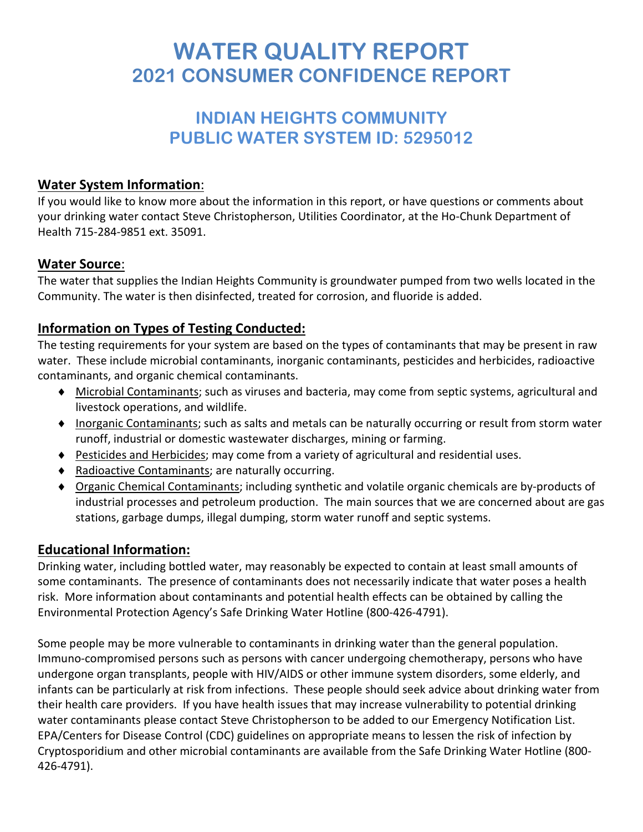# **WATER QUALITY REPORT 2021 CONSUMER CONFIDENCE REPORT**

# **INDIAN HEIGHTS COMMUNITY PUBLIC WATER SYSTEM ID: 5295012**

## **Water System Information**:

If you would like to know more about the information in this report, or have questions or comments about your drinking water contact Steve Christopherson, Utilities Coordinator, at the Ho-Chunk Department of Health 715-284-9851 ext. 35091.

## **Water Source**:

The water that supplies the Indian Heights Community is groundwater pumped from two wells located in the Community. The water is then disinfected, treated for corrosion, and fluoride is added.

# **Information on Types of Testing Conducted:**

The testing requirements for your system are based on the types of contaminants that may be present in raw water. These include microbial contaminants, inorganic contaminants, pesticides and herbicides, radioactive contaminants, and organic chemical contaminants.

- ♦ Microbial Contaminants; such as viruses and bacteria, may come from septic systems, agricultural and livestock operations, and wildlife.
- ♦ Inorganic Contaminants; such as salts and metals can be naturally occurring or result from storm water runoff, industrial or domestic wastewater discharges, mining or farming.
- ♦ Pesticides and Herbicides; may come from a variety of agricultural and residential uses.
- ♦ Radioactive Contaminants; are naturally occurring.
- ♦ Organic Chemical Contaminants; including synthetic and volatile organic chemicals are by-products of industrial processes and petroleum production. The main sources that we are concerned about are gas stations, garbage dumps, illegal dumping, storm water runoff and septic systems.

# **Educational Information:**

Drinking water, including bottled water, may reasonably be expected to contain at least small amounts of some contaminants. The presence of contaminants does not necessarily indicate that water poses a health risk. More information about contaminants and potential health effects can be obtained by calling the Environmental Protection Agency's Safe Drinking Water Hotline (800-426-4791).

Some people may be more vulnerable to contaminants in drinking water than the general population. Immuno-compromised persons such as persons with cancer undergoing chemotherapy, persons who have undergone organ transplants, people with HIV/AIDS or other immune system disorders, some elderly, and infants can be particularly at risk from infections. These people should seek advice about drinking water from their health care providers. If you have health issues that may increase vulnerability to potential drinking water contaminants please contact Steve Christopherson to be added to our Emergency Notification List. EPA/Centers for Disease Control (CDC) guidelines on appropriate means to lessen the risk of infection by Cryptosporidium and other microbial contaminants are available from the Safe Drinking Water Hotline (800- 426-4791).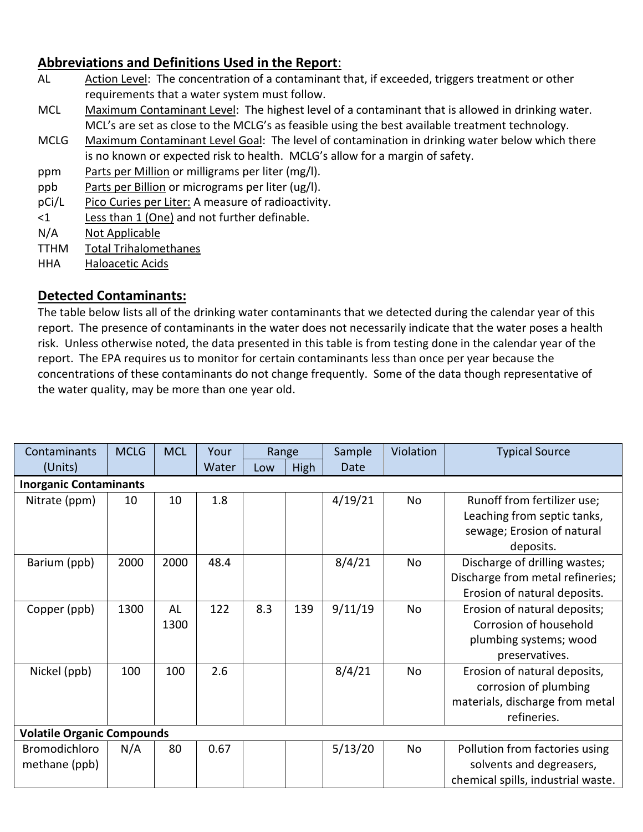# **Abbreviations and Definitions Used in the Report**:

- AL Action Level: The concentration of a contaminant that, if exceeded, triggers treatment or other requirements that a water system must follow.
- MCL Maximum Contaminant Level: The highest level of a contaminant that is allowed in drinking water. MCL's are set as close to the MCLG's as feasible using the best available treatment technology.
- MCLG Maximum Contaminant Level Goal: The level of contamination in drinking water below which there is no known or expected risk to health. MCLG's allow for a margin of safety.
- ppm Parts per Million or milligrams per liter (mg/l).
- ppb Parts per Billion or micrograms per liter (ug/l).
- pCi/L Pico Curies per Liter: A measure of radioactivity.
- <1 Less than 1 (One) and not further definable.
- N/A Not Applicable
- TTHM Total Trihalomethanes
- HHA Haloacetic Acids

#### **Detected Contaminants:**

The table below lists all of the drinking water contaminants that we detected during the calendar year of this report. The presence of contaminants in the water does not necessarily indicate that the water poses a health risk. Unless otherwise noted, the data presented in this table is from testing done in the calendar year of the report. The EPA requires us to monitor for certain contaminants less than once per year because the concentrations of these contaminants do not change frequently. Some of the data though representative of the water quality, may be more than one year old.

| Contaminants                      | <b>MCLG</b> | <b>MCL</b> | Your  | Range |      | Sample  | Violation | <b>Typical Source</b>              |  |  |  |  |
|-----------------------------------|-------------|------------|-------|-------|------|---------|-----------|------------------------------------|--|--|--|--|
| (Units)                           |             |            | Water | Low   | High | Date    |           |                                    |  |  |  |  |
| <b>Inorganic Contaminants</b>     |             |            |       |       |      |         |           |                                    |  |  |  |  |
| Nitrate (ppm)                     | 10          | 10         | 1.8   |       |      | 4/19/21 | No        | Runoff from fertilizer use;        |  |  |  |  |
|                                   |             |            |       |       |      |         |           | Leaching from septic tanks,        |  |  |  |  |
|                                   |             |            |       |       |      |         |           | sewage; Erosion of natural         |  |  |  |  |
|                                   |             |            |       |       |      |         |           | deposits.                          |  |  |  |  |
| Barium (ppb)                      | 2000        | 2000       | 48.4  |       |      | 8/4/21  | No        | Discharge of drilling wastes;      |  |  |  |  |
|                                   |             |            |       |       |      |         |           | Discharge from metal refineries;   |  |  |  |  |
|                                   |             |            |       |       |      |         |           | Erosion of natural deposits.       |  |  |  |  |
| Copper (ppb)                      | 1300        | AL         | 122   | 8.3   | 139  | 9/11/19 | No        | Erosion of natural deposits;       |  |  |  |  |
|                                   |             | 1300       |       |       |      |         |           | Corrosion of household             |  |  |  |  |
|                                   |             |            |       |       |      |         |           | plumbing systems; wood             |  |  |  |  |
|                                   |             |            |       |       |      |         |           | preservatives.                     |  |  |  |  |
| Nickel (ppb)                      | 100         | 100        | 2.6   |       |      | 8/4/21  | No        | Erosion of natural deposits,       |  |  |  |  |
|                                   |             |            |       |       |      |         |           | corrosion of plumbing              |  |  |  |  |
|                                   |             |            |       |       |      |         |           | materials, discharge from metal    |  |  |  |  |
|                                   |             |            |       |       |      |         |           | refineries.                        |  |  |  |  |
| <b>Volatile Organic Compounds</b> |             |            |       |       |      |         |           |                                    |  |  |  |  |
| Bromodichloro                     | N/A         | 80         | 0.67  |       |      | 5/13/20 | No        | Pollution from factories using     |  |  |  |  |
| methane (ppb)                     |             |            |       |       |      |         |           | solvents and degreasers,           |  |  |  |  |
|                                   |             |            |       |       |      |         |           | chemical spills, industrial waste. |  |  |  |  |